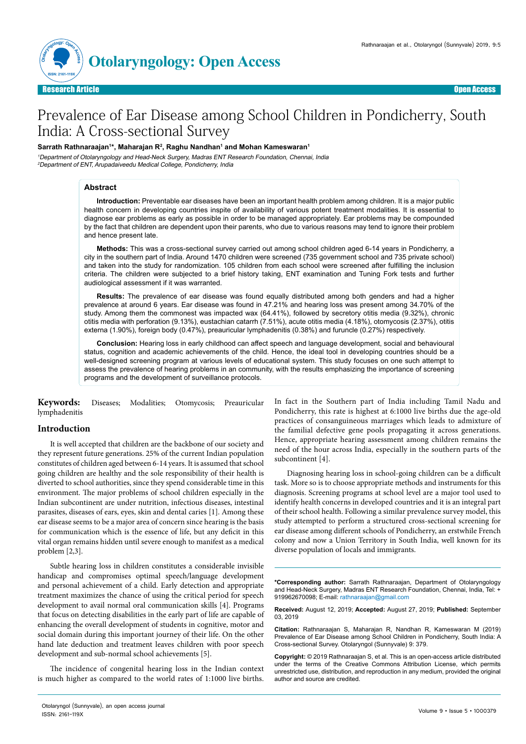

# Prevalence of Ear Disease among School Children in Pondicherry, South India: A Cross-sectional Survey

## Sarrath Rathnaraajan<sup>1</sup>\*, Maharajan R<sup>2</sup>, Raghu Nandhan<sup>1</sup> and Mohan Kameswaran<sup>1</sup>

<sup>1</sup>Department of Otolaryngology and Head-Neck Surgery, Madras ENT Research Foundation, Chennai, India <sup>2</sup>Department of ENT, Arupadaiveedu Medical College, Pondicherry, India

#### **Abstract**

**Introduction:** Preventable ear diseases have been an important health problem among children. It is a major public health concern in developing countries inspite of availability of various potent treatment modalities. It is essential to diagnose ear problems as early as possible in order to be managed appropriately. Ear problems may be compounded by the fact that children are dependent upon their parents, who due to various reasons may tend to ignore their problem and hence present late.

**Methods:** This was a cross-sectional survey carried out among school children aged 6-14 years in Pondicherry, a city in the southern part of India. Around 1470 children were screened (735 government school and 735 private school) and taken into the study for randomization. 105 children from each school were screened after fulfilling the inclusion criteria. The children were subjected to a brief history taking, ENT examination and Tuning Fork tests and further audiological assessment if it was warranted.

**Results:** The prevalence of ear disease was found equally distributed among both genders and had a higher prevalence at around 6 years. Ear disease was found in 47.21% and hearing loss was present among 34.70% of the study. Among them the commonest was impacted wax (64.41%), followed by secretory otitis media (9.32%), chronic otitis media with perforation (9.13%), eustachian catarrh (7.51%), acute otitis media (4.18%), otomycosis (2.37%), otitis externa (1.90%), foreign body (0.47%), preauricular lymphadenitis (0.38%) and furuncle (0.27%) respectively.

**Conclusion:** Hearing loss in early childhood can affect speech and language development, social and behavioural status, cognition and academic achievements of the child. Hence, the ideal tool in developing countries should be a well-designed screening program at various levels of educational system. This study focuses on one such attempt to assess the prevalence of hearing problems in an community, with the results emphasizing the importance of screening programs and the development of surveillance protocols.

**Keywords:** Diseases; Modalities; Otomycosis; Preauricular lymphadenitis

# **Introduction**

It is well accepted that children are the backbone of our society and they represent future generations. 25% of the current Indian population constitutes of children aged between 6-14 years. It is assumed that school going children are healthy and the sole responsibility of their health is diverted to school authorities, since they spend considerable time in this environment. The major problems of school children especially in the Indian subcontinent are under nutrition, infectious diseases, intestinal parasites, diseases of ears, eyes, skin and dental caries [1]. Among these ear disease seems to be a major area of concern since hearing is the basis for communication which is the essence of life, but any deficit in this vital organ remains hidden until severe enough to manifest as a medical problem [2,3].

Subtle hearing loss in children constitutes a considerable invisible handicap and compromises optimal speech/language development and personal achievement of a child. Early detection and appropriate treatment maximizes the chance of using the critical period for speech development to avail normal oral communication skills [4]. Programs that focus on detecting disabilities in the early part of life are capable of enhancing the overall development of students in cognitive, motor and social domain during this important journey of their life. On the other hand late deduction and treatment leaves children with poor speech development and sub-normal school achievements [5].

The incidence of congenital hearing loss in the Indian context is much higher as compared to the world rates of 1:1000 live births.

In fact in the Southern part of India including Tamil Nadu and Pondicherry, this rate is highest at 6:1000 live births due the age-old practices of consanguineous marriages which leads to admixture of the familial defective gene pools propagating it across generations. Hence, appropriate hearing assessment among children remains the need of the hour across India, especially in the southern parts of the subcontinent [4].

Diagnosing hearing loss in school-going children can be a difficult task. More so is to choose appropriate methods and instruments for this diagnosis. Screening programs at school level are a major tool used to identify health concerns in developed countries and it is an integral part of their school health. Following a similar prevalence survey model, this study attempted to perform a structured cross-sectional screening for ear disease among different schools of Pondicherry, an erstwhile French colony and now a Union Territory in South India, well known for its diverse population of locals and immigrants.

**\*Corresponding author:** Sarrath Rathnaraajan, Department of Otolaryngology and Head-Neck Surgery, Madras ENT Research Foundation, Chennai, India, Tel: + 919962670098; E-mail: rathnaraajan@gmail.com

**Received:** August 12, 2019; **Accepted:** August 27, 2019; **Published:** September 03, 2019

**Citation:** Rathnaraajan S, Maharajan R, Nandhan R, Kameswaran M (2019) Prevalence of Ear Disease among School Children in Pondicherry, South India: A Cross-sectional Survey. Otolaryngol (Sunnyvale) 9: 379.

**Copyright:** © 2019 Rathnaraajan S, et al. This is an open-access article distributed under the terms of the Creative Commons Attribution License, which permits unrestricted use, distribution, and reproduction in any medium, provided the original author and source are credited.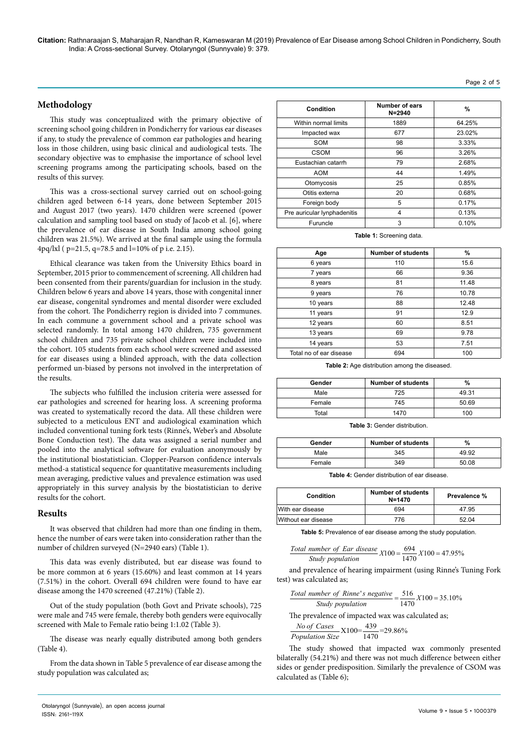# **Methodology**

This study was conceptualized with the primary objective of screening school going children in Pondicherry for various ear diseases if any, to study the prevalence of common ear pathologies and hearing loss in those children, using basic clinical and audiological tests. The secondary objective was to emphasise the importance of school level screening programs among the participating schools, based on the results of this survey.

This was a cross-sectional survey carried out on school-going children aged between 6-14 years, done between September 2015 and August 2017 (two years). 1470 children were screened (power calculation and sampling tool based on study of Jacob et al. [6], where the prevalence of ear disease in South India among school going children was 21.5%). We arrived at the final sample using the formula 4pq/lxl ( p=21.5, q=78.5 and l=10% of p i.e. 2.15).

Ethical clearance was taken from the University Ethics board in September, 2015 prior to commencement of screening. All children had been consented from their parents/guardian for inclusion in the study. Children below 6 years and above 14 years, those with congenital inner ear disease, congenital syndromes and mental disorder were excluded from the cohort. The Pondicherry region is divided into 7 communes. In each commune a government school and a private school was selected randomly. In total among 1470 children, 735 government school children and 735 private school children were included into the cohort. 105 students from each school were screened and assessed for ear diseases using a blinded approach, with the data collection performed un-biased by persons not involved in the interpretation of the results.

The subjects who fulfilled the inclusion criteria were assessed for ear pathologies and screened for hearing loss. A screening proforma was created to systematically record the data. All these children were subjected to a meticulous ENT and audiological examination which included conventional tuning fork tests (Rinne's, Weber's and Absolute Bone Conduction test). The data was assigned a serial number and pooled into the analytical software for evaluation anonymously by the institutional biostatistician. Clopper-Pearson confidence intervals method-a statistical sequence for quantitative measurements including mean averaging, predictive values and prevalence estimation was used appropriately in this survey analysis by the biostatistician to derive results for the cohort.

#### **Results**

It was observed that children had more than one finding in them, hence the number of ears were taken into consideration rather than the number of children surveyed (N=2940 ears) (Table 1).

This data was evenly distributed, but ear disease was found to be more common at 6 years (15.60%) and least common at 14 years (7.51%) in the cohort. Overall 694 children were found to have ear disease among the 1470 screened (47.21%) (Table 2).

Out of the study population (both Govt and Private schools), 725 were male and 745 were female, thereby both genders were equivocally screened with Male to Female ratio being 1:1.02 (Table 3).

The disease was nearly equally distributed among both genders (Table 4).

From the data shown in Table 5 prevalence of ear disease among the study population was calculated as;

| Condition                   | Number of ears<br>$N = 2940$ | %      |
|-----------------------------|------------------------------|--------|
| Within normal limits        | 1889                         | 64.25% |
| Impacted wax                | 677                          | 23.02% |
| SOM                         | 98                           | 3.33%  |
| CSOM                        | 96                           | 3.26%  |
| Eustachian catarrh          | 79                           | 2.68%  |
| <b>AOM</b>                  | 44                           | 1.49%  |
| Otomycosis                  | 25                           | 0.85%  |
| Otitis externa              | 20                           | 0.68%  |
| Foreign body                | 5                            | 0.17%  |
| Pre auricular lynphadenitis | 4                            | 0.13%  |
| Furuncle                    | 3                            | 0.10%  |

Page 2 of 5

**Table 1:** Screening data.

| Age                     | <b>Number of students</b> | %     |
|-------------------------|---------------------------|-------|
| 6 years                 | 110                       | 15.6  |
| 7 years                 | 66                        | 9.36  |
| 8 years                 | 81                        | 11.48 |
| 9 years                 | 76                        | 10.78 |
| 10 years                | 88                        | 12.48 |
| 11 years                | 91                        | 12.9  |
| 12 years                | 60                        | 8.51  |
| 13 years                | 69                        | 9.78  |
| 14 years                | 53                        | 7.51  |
| Total no of ear disease | 694                       | 100   |

**Table 2:** Age distribution among the diseased.

| Gender | <b>Number of students</b> | %     |
|--------|---------------------------|-------|
| Male   | 725                       | 49.31 |
| Female | 745                       | 50.69 |
| Total  | 1470                      | 100   |

**Table 3:** Gender distribution.

| Gender | <b>Number of students</b> | %     |
|--------|---------------------------|-------|
| Male   | 345                       | 49.92 |
| Female | 349                       | 50.08 |

**Table 4:** Gender distribution of ear disease.

| Condition           | <b>Number of students</b><br>$N = 1470$ | Prevalence % |
|---------------------|-----------------------------------------|--------------|
| With ear disease    | 694                                     | 47.95        |
| Without ear disease | 776                                     | 52.04        |

**Table 5:** Prevalence of ear disease among the study population.

Total number of Ear disease  
\nStudy population 
$$
X100 = \frac{694}{1470} X100 = 47.95\%
$$

and prevalence of hearing impairment (using Rinne's Tuning Fork test) was calculated as;

Total number of Rinne's negative 
$$
=
$$
  $\frac{516}{1470} \times 100 = 35.10\%$   
Study population

The prevalence of impacted wax was calculated as;

$$
\frac{No\ of\ Cases}{Population\ Size}X100=\frac{439}{1470}=29.86\%
$$

The study showed that impacted wax commonly presented bilaterally (54.21%) and there was not much difference between either sides or gender predisposition. Similarly the prevalence of CSOM was calculated as (Table 6);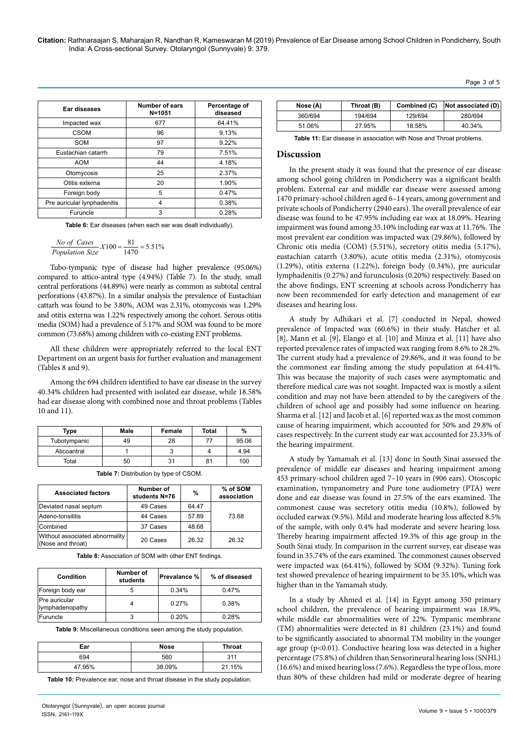**Citation:** Rathnaraajan S, Maharajan R, Nandhan R, Kameswaran M (2019) Prevalence of Ear Disease among School Children in Pondicherry, South India: A Cross-sectional Survey. Otolaryngol (Sunnyvale) 9: 379.

| ≏י<br>ΩL |  |
|----------|--|
|----------|--|

| Ear diseases                | Number of ears<br>$N = 1051$ | Percentage of<br>diseased |
|-----------------------------|------------------------------|---------------------------|
| Impacted wax                | 677                          | 64.41%                    |
| CSOM                        | 96                           | 9.13%                     |
| SOM                         | 97                           | 9.22%                     |
| Eustachian catarrh          | 79                           | 7.51%                     |
| <b>AOM</b>                  | 44                           | 4.18%                     |
| Otomycosis                  | 25                           | 2.37%                     |
| Otitis externa              | 20                           | 1.90%                     |
| Foreign body                | 5                            | 0.47%                     |
| Pre auricular lynphadenitis | 4                            | 0.38%                     |
| Furuncle                    | 3                            | 0.28%                     |

**Table 6:** Ear diseases (when each ear was dealt individually).

*No of Cases*  
Population Size 
$$
X100 = \frac{81}{1470} = 5.51\%
$$

Tubo-tympanic type of disease had higher prevalence (95.06%) compared to attico-antral type (4.94%) (Table 7). In the study, small central perforations (44.89%) were nearly as common as subtotal central perforations (43.87%). In a similar analysis the prevalence of Eustachian cattarh was found to be 3.80%, AOM was 2.31%, otomycosis was 1.29% and otitis externa was 1.22% respectively among the cohort. Serous otitis media (SOM) had a prevalence of 5.17% and SOM was found to be more common (73.68%) among children with co-existing ENT problems.

All these children were appropriately referred to the local ENT Department on an urgent basis for further evaluation and management (Tables 8 and 9).

Among the 694 children identified to have ear disease in the survey 40.34% children had presented with isolated ear disease, while 18.58% had ear disease along with combined nose and throat problems (Tables 10 and 11).

| Type         | Male | Female | <b>Total</b> | %     |
|--------------|------|--------|--------------|-------|
| Tubotympanic | 49   | 28     |              | 95.06 |
| Aticoantral  |      | J      |              | 4.94  |
| Total        | 50   | 31     | 81           | 100   |

| <b>Associated factors</b>                           | Number of<br>students N=76 | %     | % of SOM<br>association |
|-----------------------------------------------------|----------------------------|-------|-------------------------|
| Deviated nasal septum                               | 49 Cases                   | 64.47 |                         |
| Adeno-tonsilitis                                    | 44 Cases                   | 57.89 | 73.68                   |
| Combined                                            | 37 Cases                   | 48.68 |                         |
| Without associated abnormality<br>(Nose and throat) | 20 Cases                   | 26.32 | 26.32                   |

**Table 8:** Association of SOM with other ENT findings.

| Condition                        | Number of<br>students | Prevalance % | % of diseased |
|----------------------------------|-----------------------|--------------|---------------|
| Foreign body ear                 |                       | 0.34%        | 0.47%         |
| Pre auricular<br>lymphadenopathy |                       | 0.27%        | 0.38%         |
| Furuncle                         |                       | 0.20%        | 0.28%         |

**Table 9:** Miscellaneous conditions seen among the study population.

| Ear    | Nose   | Throat |
|--------|--------|--------|
| 694    | 560    | 311    |
| 47.95% | 38.09% | 21.15% |

**Table 10:** Prevalence ear, nose and throat disease in the study population.

| Nose (A) | Throat (B) | Combined (C) | $ Not$ associated $(D)$ |
|----------|------------|--------------|-------------------------|
| 360/694  | 194/694    | 129/694      | 280/694                 |
| 51.06%   | 27.95%     | 18.58%       | 40.34%                  |

**Table 11:** Ear disease in association with Nose and Throat problems.

#### **Discussion**

In the present study it was found that the presence of ear disease among school going children in Pondicherry was a significant health problem. External ear and middle ear disease were assessed among 1470 primary-school children aged 6–14 years, among government and private schools of Pondicherry (2940 ears). The overall prevalence of ear disease was found to be 47.95% including ear wax at 18.09%. Hearing impairment was found among 35.10% including ear wax at 11.76%. The most prevalent ear condition was impacted wax (29.86%), followed by Chronic otis media (COM) (5.51%), secretory otitis media (5.17%), eustachian catarrh (3.80%), acute otitis media (2.31%), otomycosis (1.29%), otitis externa (1.22%), foreign body (0.34%), pre auricular lymphadenitis (0.27%) and furunculosis (0.20%) respectively. Based on the above findings, ENT screening at schools across Pondicherry has now been recommended for early detection and management of ear diseases and hearing loss.

A study by Adhikari et al. [7] conducted in Nepal, showed prevalence of Impacted wax (60.6%) in their study. Hatcher et al. [8], Mann et al. [9], Elango et al. [10] and Minza et al. [11] have also reported prevalence rates of impacted wax ranging from 8.6% to 28.2%. The current study had a prevalence of 29.86%, and it was found to be the commonest ear finding among the study population at 64.41%. This was because the majority of such cases were asymptomatic and therefore medical care was not sought. Impacted wax is mostly a silent condition and may not have been attended to by the caregivers of the children of school age and possibly had some influence on hearing. Sharma et al. [12] and Jacob et al. [6] reported wax as the most common cause of hearing impairment, which accounted for 50% and 29.8% of cases respectively. In the current study ear wax accounted for 23.33% of the hearing impairment.

A study by Yamamah et al. [13] done in South Sinai assessed the prevalence of middle ear diseases and hearing impairment among 453 primary-school children aged 7–10 years in (906 ears). Otoscopic examination, tympanometry and Pure tone audiometry (PTA) were done and ear disease was found in 27.5% of the ears examined. The commonest cause was secretory otitis media (10.8%), followed by occluded earwax (9.5%). Mild and moderate hearing loss affected 8.5% of the sample, with only 0.4% had moderate and severe hearing loss. Thereby hearing impairment affected 19.3% of this age group in the South Sinai study. In comparison in the current survey, ear disease was found in 35.74% of the ears examined. The commonest causes observed were impacted wax (64.41%), followed by SOM (9.32%). Tuning fork test showed prevalence of hearing impairment to be 35.10%, which was higher than in the Yamamah study.

In a study by Ahmed et al. [14] in Egypt among 350 primary school children, the prevalence of hearing impairment was 18.9%, while middle ear abnormalities were of 22%. Tympanic membrane (TM) abnormalities were detected in 81 children (23.1%) and found to be significantly associated to abnormal TM mobility in the younger age group (p<0.01). Conductive hearing loss was detected in a higher percentage (75.8%) of children than Sensorineural hearing loss (SNHL) (16.6%) and mixed hearing loss (7.6%). Regardless the type of loss, more than 80% of these children had mild or moderate degree of hearing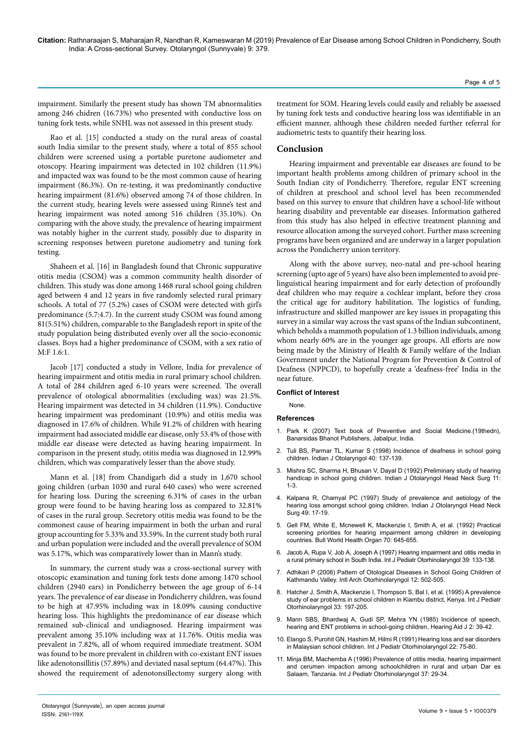impairment. Similarly the present study has shown TM abnormalities among 246 chidren (16.73%) who presented with conductive loss on tuning fork tests, while SNHL was not assessed in this present study.

Rao et al. [15] conducted a study on the rural areas of coastal south India similar to the present study, where a total of 855 school children were screened using a portable puretone audiometer and otoscopy. Hearing impairment was detected in 102 children (11.9%) and impacted wax was found to be the most common cause of hearing impairment (86.3%). On re-testing, it was predominantly conductive hearing impairment (81.6%) observed among 74 of those children. In the current study, hearing levels were assessed using Rinne's test and hearing impairment was noted among 516 children (35.10%). On comparing with the above study, the prevalence of hearing impairment was notably higher in the current study, possibly due to disparity in screening responses between puretone audiometry and tuning fork testing.

Shaheen et al. [16] in Bangladesh found that Chronic suppurative otitis media (CSOM) was a common community health disorder of children. This study was done among 1468 rural school going children aged between 4 and 12 years in five randomly selected rural primary schools. A total of 77 (5.2%) cases of CSOM were detected with girl's predominance (5.7:4.7). In the current study CSOM was found among 81(5.51%) children, comparable to the Bangladesh report in spite of the study population being distributed evenly over all the socio-economic classes. Boys had a higher predominance of CSOM, with a sex ratio of M:F 1.6:1.

Jacob [17] conducted a study in Vellore, India for prevalence of hearing impairment and otitis media in rural primary school children. A total of 284 children aged 6-10 years were screened. The overall prevalence of otological abnormalities (excluding wax) was 21.5%. Hearing impairment was detected in 34 children (11.9%). Conductive hearing impairment was predominant (10.9%) and otitis media was diagnosed in 17.6% of children. While 91.2% of children with hearing impairment had associated middle ear disease, only 53.4% of those with middle ear disease were detected as having hearing impairment. In comparison in the present study, otitis media was diagnosed in 12.99% children, which was comparatively lesser than the above study.

Mann et al. [18] from Chandigarh did a study in 1,670 school going children (urban 1030 and rural 640 cases) who were screened for hearing loss. During the screening 6.31% of cases in the urban group were found to be having hearing loss as compared to 32.81% of cases in the rural group. Secretory otitis media was found to be the commonest cause of hearing impairment in both the urban and rural group accounting for 5.33% and 33.59%. In the current study both rural and urban population were included and the overall prevalence of SOM was 5.17%, which was comparatively lower than in Mann's study.

In summary, the current study was a cross-sectional survey with otoscopic examination and tuning fork tests done among 1470 school children (2940 ears) in Pondicherry between the age group of 6-14 years. The prevalence of ear disease in Pondicherry children, was found to be high at 47.95% including wax in 18.09% causing conductive hearing loss. This highlights the predominance of ear disease which remained sub-clinical and undiagnosed. Hearing impairment was prevalent among 35.10% including wax at 11.76%. Otitis media was prevalent in 7.82%, all of whom required immediate treatment. SOM was found to be more prevalent in children with co-existant ENT issues like adenotonsillitis (57.89%) and deviated nasal septum (64.47%). This showed the requirement of adenotonsillectomy surgery along with

treatment for SOM. Hearing levels could easily and reliably be assessed by tuning fork tests and conductive hearing loss was identifiable in an efficient manner, although these children needed further referral for audiometric tests to quantify their hearing loss.

# **Conclusion**

Hearing impairment and preventable ear diseases are found to be important health problems among children of primary school in the South Indian city of Pondicherry. Therefore, regular ENT screening of children at preschool and school level has been recommended based on this survey to ensure that children have a school-life without hearing disability and preventable ear diseases. Information gathered from this study has also helped in effective treatment planning and resource allocation among the surveyed cohort. Further mass screening programs have been organized and are underway in a larger population across the Pondicherry union territory.

Along with the above survey, neo-natal and pre-school hearing screening (upto age of 5 years) have also been implemented to avoid prelinguistical hearing impairment and for early detection of profoundly deaf children who may require a cochlear implant, before they cross the critical age for auditory habilitation. The logistics of funding, infrastructure and skilled manpower are key issues in propagating this survey in a similar way across the vast spans of the Indian subcontinent, which beholds a mammoth population of 1.3 billion individuals, among whom nearly 60% are in the younger age groups. All efforts are now being made by the Ministry of Health & Family welfare of the Indian Government under the National Program for Prevention & Control of Deafness (NPPCD), to hopefully create a 'deafness-free' India in the near future.

### **Conflict of Interest**

None.

#### **References**

- Park K (2007) Text book of Preventive and Social Medicine.(19thedn), [Banarsidas Bhanot Publishers, Jabalpur, India.](https://www.worldcat.org/title/parks-textbook-of-preventive-and-social-medicine/oclc/696631150)
- 2. [Tuli BS, Parmar TL, Kumar S \(1998\) Incidence of deafness in school going](https://link.springer.com/article/10.1007/BF02992601)  [children. Indian J Otolaryngol 40: 137-139.](https://link.springer.com/article/10.1007/BF02992601)
- 3. Mishra SC, Sharma H, Bhusan V, Dayal D (1992) Preliminary study of hearing handicap in school going children. Indian J Otolaryngol Head Neck Surg 11: 1-3.
- 4. [Kalpana R, Chamyal PC \(1997\) Study of prevalence and aetiology of the](https://dx.doi.org/10.1007%2FBF03023793)  [hearing loss amongst school going children. Indian J Otolaryngol Head Neck](https://dx.doi.org/10.1007%2FBF03023793)  [Surg 49: 17-19.](https://dx.doi.org/10.1007%2FBF03023793)
- 5. Gell FM, White E, Mcnewell K, Mackenzie I, Smith A, et al. (1992) Practical screening priorities for hearing impairment among children in developing countries. Bull World Health Organ 70: 645-655.
- 6. [Jacob A, Rupa V, Job A, Joseph A \(1997\) Hearing impairment and otitis media in](https://doi.org/10.1016/s0165-5876%2896%2901479-6)  [a rural primary school in South India. Int J Pediatr Otorhinolaryngol 39: 133-138.](https://doi.org/10.1016/s0165-5876%2896%2901479-6)
- 7. [Adhikari P \(2008\) Pattern of Otological Diseases in School Going Children of](http://arquivosdeorl.org.br/additional/acervo_port.asp?id=563)  [Kathmandu Valley. Intl Arch Otorhinolaryngol 12: 502-505.](http://arquivosdeorl.org.br/additional/acervo_port.asp?id=563)
- 8. [Hatcher J, Smith A, Mackenzie I, Thompson S, Bal I, et al. \(1995\) A prevalence](https://doi.org/10.1016/0165-5876(95)01209-5)  [study of ear problems in school children in Kiambu district, Kenya. Int J Pediatr](https://doi.org/10.1016/0165-5876(95)01209-5)  [Otorhinolaryngol 33: 197-205.](https://doi.org/10.1016/0165-5876(95)01209-5)
- 9. Mann SBS, Bhardwaj A, Gudi SP, Mehra YN (1985) Incidence of speech, hearing and ENT problems in school-going children, Hearing Aid J 2: 39-42.
- 10. [Elango S, Purohit GN, Hashim M, Hilmi R \(1991\) Hearing loss and ear disorders](https://doi.org/10.1016/0165-5876(91)90098-V)  [in Malaysian school children. Int J Pediatr Otorhinolaryngol 22: 75-80.](https://doi.org/10.1016/0165-5876(91)90098-V)
- 11. [Minja BM, Machemba A \(1996\) Prevalence of otitis media, hearing impairment](https://doi.org/10.1016/0165-5876(96)01363-8)  [and cerumen impaction among schoolchildren in rural and urban Dar es](https://doi.org/10.1016/0165-5876(96)01363-8)  [Salaam, Tanzania. Int J Pediatr Otorhinolaryngol 37: 29-34.](https://doi.org/10.1016/0165-5876(96)01363-8)